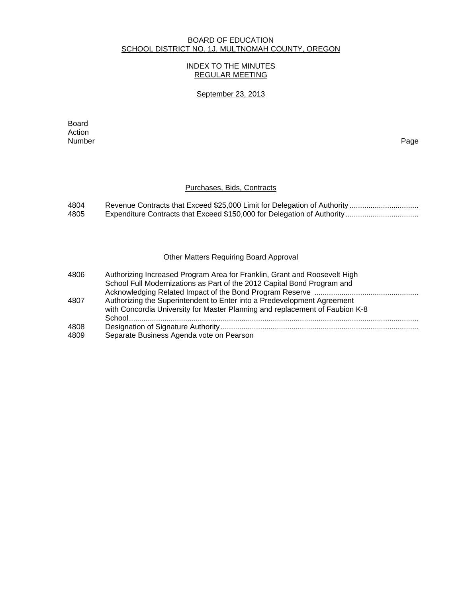#### BOARD OF EDUCATION SCHOOL DISTRICT NO. 1J, MULTNOMAH COUNTY, OREGON

## INDEX TO THE MINUTES REGULAR MEETING

#### September 23, 2013

**Board Board** Action Number Page

### Purchases, Bids, Contracts

| 4804 |  |
|------|--|
| 4805 |  |

### Other Matters Requiring Board Approval

| 4806 | Authorizing Increased Program Area for Franklin, Grant and Roosevelt High    |
|------|------------------------------------------------------------------------------|
|      | School Full Modernizations as Part of the 2012 Capital Bond Program and      |
|      |                                                                              |
| 4807 | Authorizing the Superintendent to Enter into a Predevelopment Agreement      |
|      | with Concordia University for Master Planning and replacement of Faubion K-8 |
|      |                                                                              |
| 4808 |                                                                              |
| 4809 | Separate Business Agenda vote on Pearson                                     |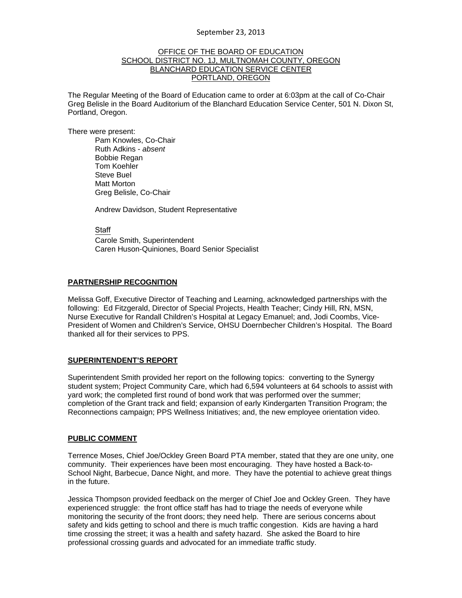#### OFFICE OF THE BOARD OF EDUCATION SCHOOL DISTRICT NO. 1J, MULTNOMAH COUNTY, OREGON BLANCHARD EDUCATION SERVICE CENTER PORTLAND, OREGON

The Regular Meeting of the Board of Education came to order at 6:03pm at the call of Co-Chair Greg Belisle in the Board Auditorium of the Blanchard Education Service Center, 501 N. Dixon St, Portland, Oregon.

There were present: Pam Knowles, Co-Chair Ruth Adkins - *absent* Bobbie Regan Tom Koehler Steve Buel Matt Morton Greg Belisle, Co-Chair

Andrew Davidson, Student Representative

**Staff**  Carole Smith, Superintendent Caren Huson-Quiniones, Board Senior Specialist

### **PARTNERSHIP RECOGNITION**

Melissa Goff, Executive Director of Teaching and Learning, acknowledged partnerships with the following: Ed Fitzgerald, Director of Special Projects, Health Teacher; Cindy Hill, RN, MSN, Nurse Executive for Randall Children's Hospital at Legacy Emanuel; and, Jodi Coombs, Vice-President of Women and Children's Service, OHSU Doernbecher Children's Hospital. The Board thanked all for their services to PPS.

#### **SUPERINTENDENT'S REPORT**

Superintendent Smith provided her report on the following topics: converting to the Synergy student system; Project Community Care, which had 6,594 volunteers at 64 schools to assist with yard work; the completed first round of bond work that was performed over the summer; completion of the Grant track and field; expansion of early Kindergarten Transition Program; the Reconnections campaign; PPS Wellness Initiatives; and, the new employee orientation video.

#### **PUBLIC COMMENT**

Terrence Moses, Chief Joe/Ockley Green Board PTA member, stated that they are one unity, one community. Their experiences have been most encouraging. They have hosted a Back-to-School Night, Barbecue, Dance Night, and more. They have the potential to achieve great things in the future.

Jessica Thompson provided feedback on the merger of Chief Joe and Ockley Green. They have experienced struggle: the front office staff has had to triage the needs of everyone while monitoring the security of the front doors; they need help. There are serious concerns about safety and kids getting to school and there is much traffic congestion. Kids are having a hard time crossing the street; it was a health and safety hazard. She asked the Board to hire professional crossing guards and advocated for an immediate traffic study.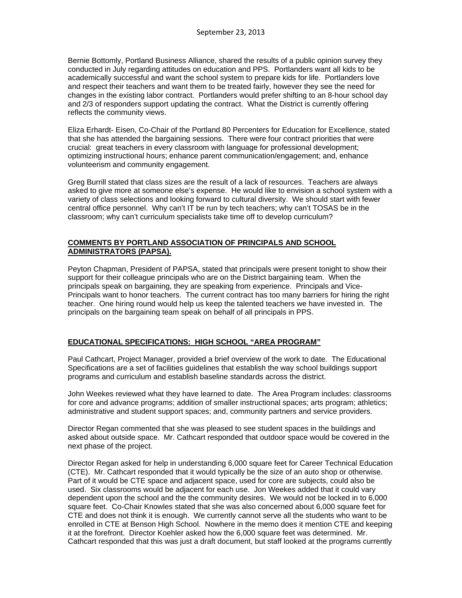Bernie Bottomly, Portland Business Alliance, shared the results of a public opinion survey they conducted in July regarding attitudes on education and PPS. Portlanders want all kids to be academically successful and want the school system to prepare kids for life. Portlanders love and respect their teachers and want them to be treated fairly, however they see the need for changes in the existing labor contract. Portlanders would prefer shifting to an 8-hour school day and 2/3 of responders support updating the contract. What the District is currently offering reflects the community views.

Eliza Erhardt- Eisen, Co-Chair of the Portland 80 Percenters for Education for Excellence, stated that she has attended the bargaining sessions. There were four contract priorities that were crucial: great teachers in every classroom with language for professional development; optimizing instructional hours; enhance parent communication/engagement; and, enhance volunteerism and community engagement.

Greg Burrill stated that class sizes are the result of a lack of resources. Teachers are always asked to give more at someone else's expense. He would like to envision a school system with a variety of class selections and looking forward to cultural diversity. We should start with fewer central office personnel. Why can't IT be run by tech teachers; why can't TOSAS be in the classroom; why can't curriculum specialists take time off to develop curriculum?

## **COMMENTS BY PORTLAND ASSOCIATION OF PRINCIPALS AND SCHOOL ADMINISTRATORS (PAPSA).**

Peyton Chapman, President of PAPSA, stated that principals were present tonight to show their support for their colleague principals who are on the District bargaining team. When the principals speak on bargaining, they are speaking from experience. Principals and Vice-Principals want to honor teachers. The current contract has too many barriers for hiring the right teacher. One hiring round would help us keep the talented teachers we have invested in. The principals on the bargaining team speak on behalf of all principals in PPS.

## **EDUCATIONAL SPECIFICATIONS: HIGH SCHOOL "AREA PROGRAM"**

Paul Cathcart, Project Manager, provided a brief overview of the work to date. The Educational Specifications are a set of facilities guidelines that establish the way school buildings support programs and curriculum and establish baseline standards across the district.

John Weekes reviewed what they have learned to date. The Area Program includes: classrooms for core and advance programs; addition of smaller instructional spaces; arts program; athletics; administrative and student support spaces; and, community partners and service providers.

Director Regan commented that she was pleased to see student spaces in the buildings and asked about outside space. Mr. Cathcart responded that outdoor space would be covered in the next phase of the project.

Director Regan asked for help in understanding 6,000 square feet for Career Technical Education (CTE). Mr. Cathcart responded that it would typically be the size of an auto shop or otherwise. Part of it would be CTE space and adjacent space, used for core are subjects, could also be used. Six classrooms would be adjacent for each use. Jon Weekes added that it could vary dependent upon the school and the the community desires. We would not be locked in to 6,000 square feet. Co-Chair Knowles stated that she was also concerned about 6,000 square feet for CTE and does not think it is enough. We currently cannot serve all the students who want to be enrolled in CTE at Benson High School. Nowhere in the memo does it mention CTE and keeping it at the forefront. Director Koehler asked how the 6,000 square feet was determined. Mr. Cathcart responded that this was just a draft document, but staff looked at the programs currently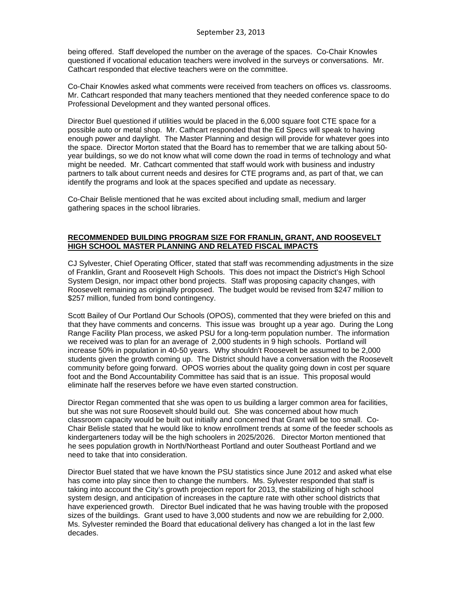being offered. Staff developed the number on the average of the spaces. Co-Chair Knowles questioned if vocational education teachers were involved in the surveys or conversations. Mr. Cathcart responded that elective teachers were on the committee.

Co-Chair Knowles asked what comments were received from teachers on offices vs. classrooms. Mr. Cathcart responded that many teachers mentioned that they needed conference space to do Professional Development and they wanted personal offices.

Director Buel questioned if utilities would be placed in the 6,000 square foot CTE space for a possible auto or metal shop. Mr. Cathcart responded that the Ed Specs will speak to having enough power and daylight. The Master Planning and design will provide for whatever goes into the space. Director Morton stated that the Board has to remember that we are talking about 50 year buildings, so we do not know what will come down the road in terms of technology and what might be needed. Mr. Cathcart commented that staff would work with business and industry partners to talk about current needs and desires for CTE programs and, as part of that, we can identify the programs and look at the spaces specified and update as necessary.

Co-Chair Belisle mentioned that he was excited about including small, medium and larger gathering spaces in the school libraries.

### **RECOMMENDED BUILDING PROGRAM SIZE FOR FRANLIN, GRANT, AND ROOSEVELT HIGH SCHOOL MASTER PLANNING AND RELATED FISCAL IMPACTS**

CJ Sylvester, Chief Operating Officer, stated that staff was recommending adjustments in the size of Franklin, Grant and Roosevelt High Schools. This does not impact the District's High School System Design, nor impact other bond projects. Staff was proposing capacity changes, with Roosevelt remaining as originally proposed. The budget would be revised from \$247 million to \$257 million, funded from bond contingency.

Scott Bailey of Our Portland Our Schools (OPOS), commented that they were briefed on this and that they have comments and concerns. This issue was brought up a year ago. During the Long Range Facility Plan process, we asked PSU for a long-term population number. The information we received was to plan for an average of 2,000 students in 9 high schools. Portland will increase 50% in population in 40-50 years. Why shouldn't Roosevelt be assumed to be 2,000 students given the growth coming up. The District should have a conversation with the Roosevelt community before going forward. OPOS worries about the quality going down in cost per square foot and the Bond Accountability Committee has said that is an issue. This proposal would eliminate half the reserves before we have even started construction.

Director Regan commented that she was open to us building a larger common area for facilities, but she was not sure Roosevelt should build out. She was concerned about how much classroom capacity would be built out initially and concerned that Grant will be too small. Co-Chair Belisle stated that he would like to know enrollment trends at some of the feeder schools as kindergarteners today will be the high schoolers in 2025/2026. Director Morton mentioned that he sees population growth in North/Northeast Portland and outer Southeast Portland and we need to take that into consideration.

Director Buel stated that we have known the PSU statistics since June 2012 and asked what else has come into play since then to change the numbers. Ms. Sylvester responded that staff is taking into account the City's growth projection report for 2013, the stabilizing of high school system design, and anticipation of increases in the capture rate with other school districts that have experienced growth. Director Buel indicated that he was having trouble with the proposed sizes of the buildings. Grant used to have 3,000 students and now we are rebuilding for 2,000. Ms. Sylvester reminded the Board that educational delivery has changed a lot in the last few decades.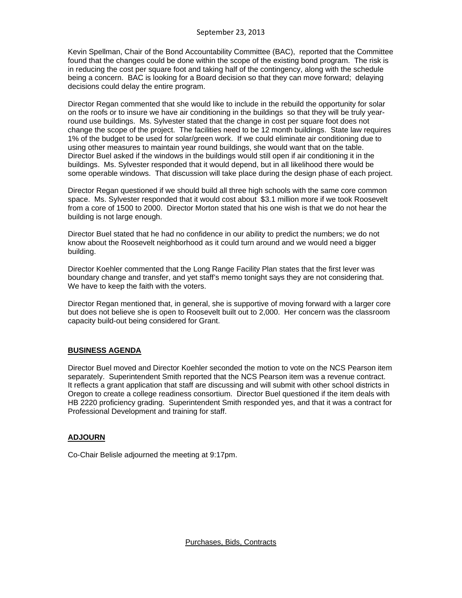Kevin Spellman, Chair of the Bond Accountability Committee (BAC), reported that the Committee found that the changes could be done within the scope of the existing bond program. The risk is in reducing the cost per square foot and taking half of the contingency, along with the schedule being a concern. BAC is looking for a Board decision so that they can move forward; delaying decisions could delay the entire program.

Director Regan commented that she would like to include in the rebuild the opportunity for solar on the roofs or to insure we have air conditioning in the buildings so that they will be truly yearround use buildings. Ms. Sylvester stated that the change in cost per square foot does not change the scope of the project. The facilities need to be 12 month buildings. State law requires 1% of the budget to be used for solar/green work. If we could eliminate air conditioning due to using other measures to maintain year round buildings, she would want that on the table. Director Buel asked if the windows in the buildings would still open if air conditioning it in the buildings. Ms. Sylvester responded that it would depend, but in all likelihood there would be some operable windows. That discussion will take place during the design phase of each project.

Director Regan questioned if we should build all three high schools with the same core common space. Ms. Sylvester responded that it would cost about \$3.1 million more if we took Roosevelt from a core of 1500 to 2000. Director Morton stated that his one wish is that we do not hear the building is not large enough.

Director Buel stated that he had no confidence in our ability to predict the numbers; we do not know about the Roosevelt neighborhood as it could turn around and we would need a bigger building.

Director Koehler commented that the Long Range Facility Plan states that the first lever was boundary change and transfer, and yet staff's memo tonight says they are not considering that. We have to keep the faith with the voters.

Director Regan mentioned that, in general, she is supportive of moving forward with a larger core but does not believe she is open to Roosevelt built out to 2,000. Her concern was the classroom capacity build-out being considered for Grant.

# **BUSINESS AGENDA**

Director Buel moved and Director Koehler seconded the motion to vote on the NCS Pearson item separately. Superintendent Smith reported that the NCS Pearson item was a revenue contract. It reflects a grant application that staff are discussing and will submit with other school districts in Oregon to create a college readiness consortium. Director Buel questioned if the item deals with HB 2220 proficiency grading. Superintendent Smith responded yes, and that it was a contract for Professional Development and training for staff.

## **ADJOURN**

Co-Chair Belisle adjourned the meeting at 9:17pm.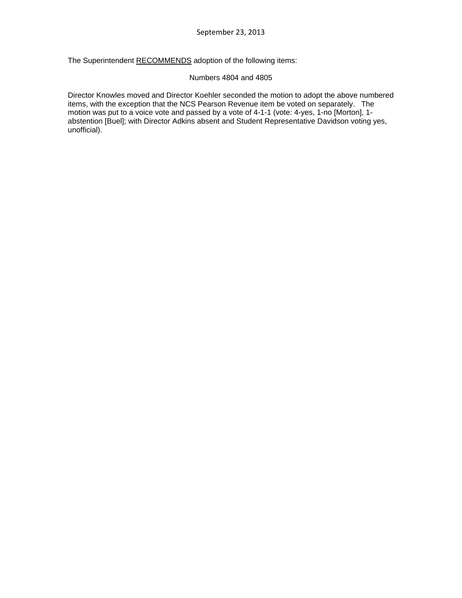The Superintendent RECOMMENDS adoption of the following items:

#### Numbers 4804 and 4805

Director Knowles moved and Director Koehler seconded the motion to adopt the above numbered items, with the exception that the NCS Pearson Revenue item be voted on separately. The motion was put to a voice vote and passed by a vote of 4-1-1 (vote: 4-yes, 1-no [Morton], 1 abstention [Buel]; with Director Adkins absent and Student Representative Davidson voting yes, unofficial).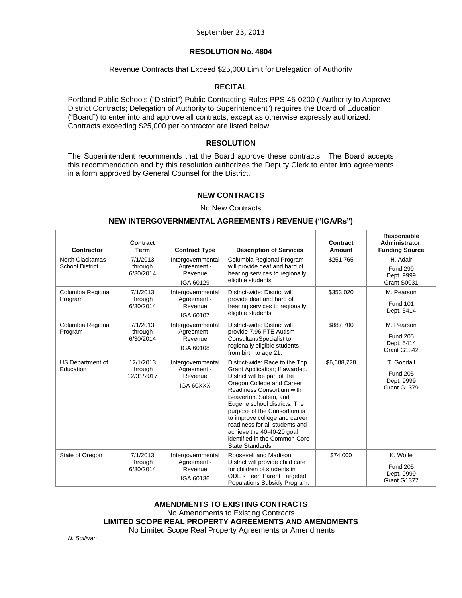## **RESOLUTION No. 4804**

#### Revenue Contracts that Exceed \$25,000 Limit for Delegation of Authority

### **RECITAL**

Portland Public Schools ("District") Public Contracting Rules PPS-45-0200 ("Authority to Approve District Contracts; Delegation of Authority to Superintendent") requires the Board of Education ("Board") to enter into and approve all contracts, except as otherwise expressly authorized. Contracts exceeding \$25,000 per contractor are listed below.

#### **RESOLUTION**

The Superintendent recommends that the Board approve these contracts. The Board accepts this recommendation and by this resolution authorizes the Deputy Clerk to enter into agreements in a form approved by General Counsel for the District.

## **NEW CONTRACTS**

#### No New Contracts

#### **NEW INTERGOVERNMENTAL AGREEMENTS / REVENUE ("IGA/Rs")**

| <b>Contractor</b>                         | Contract<br><b>Term</b>            | <b>Contract Type</b>                                     | <b>Description of Services</b>                                                                                                                                                                                                                                                                                                                                                                                 | Contract<br><b>Amount</b> | Responsible<br>Administrator,<br><b>Funding Source</b>     |
|-------------------------------------------|------------------------------------|----------------------------------------------------------|----------------------------------------------------------------------------------------------------------------------------------------------------------------------------------------------------------------------------------------------------------------------------------------------------------------------------------------------------------------------------------------------------------------|---------------------------|------------------------------------------------------------|
| North Clackamas<br><b>School District</b> | 7/1/2013<br>through<br>6/30/2014   | Intergovernmental<br>Agreement -<br>Revenue<br>IGA 60129 | Columbia Regional Program<br>will provide deaf and hard of<br>hearing services to regionally<br>eligible students.                                                                                                                                                                                                                                                                                             | \$251,765                 | H. Adair<br><b>Fund 299</b><br>Dept. 9999<br>Grant S0031   |
| Columbia Regional<br>Program              | 7/1/2013<br>through<br>6/30/2014   | Intergovernmental<br>Agreement -<br>Revenue<br>IGA 60107 | District-wide: District will<br>provide deaf and hard of<br>hearing services to regionally<br>eligible students.                                                                                                                                                                                                                                                                                               | \$353,020                 | M. Pearson<br><b>Fund 101</b><br>Dept. 5414                |
| Columbia Regional<br>Program              | 7/1/2013<br>through<br>6/30/2014   | Intergovernmental<br>Agreement -<br>Revenue<br>IGA 60108 | District-wide: District will<br>provide 7.96 FTE Autism<br>Consultant/Specialist to<br>regionally eligible students<br>from birth to age 21.                                                                                                                                                                                                                                                                   | \$887,700                 | M. Pearson<br><b>Fund 205</b><br>Dept. 5414<br>Grant G1342 |
| US Department of<br>Education             | 12/1/2013<br>through<br>12/31/2017 | Intergovernmental<br>Agreement -<br>Revenue<br>IGA 60XXX | District-wide: Race to the Top<br>Grant Application; If awarded,<br>District will be part of the<br>Oregon College and Career<br>Readiness Consortium with<br>Beaverton, Salem, and<br>Eugene school districts. The<br>purpose of the Consortium is<br>to improve college and career<br>readiness for all students and<br>achieve the 40-40-20 goal<br>identified in the Common Core<br><b>State Standards</b> | \$6,688,728               | T. Goodall<br><b>Fund 205</b><br>Dept. 9999<br>Grant G1379 |
| State of Oregon                           | 7/1/2013<br>through<br>6/30/2014   | Intergovernmental<br>Agreement -<br>Revenue<br>IGA 60136 | Roosevelt and Madison:<br>District will provide child care<br>for children of students in<br><b>ODE's Teen Parent Targeted</b><br>Populations Subsidy Program.                                                                                                                                                                                                                                                 | \$74,000                  | K. Wolfe<br><b>Fund 205</b><br>Dept. 9999<br>Grant G1377   |

## **AMENDMENTS TO EXISTING CONTRACTS**

No Amendments to Existing Contracts

**LIMITED SCOPE REAL PROPERTY AGREEMENTS AND AMENDMENTS** 

No Limited Scope Real Property Agreements or Amendments

*N. Sullivan*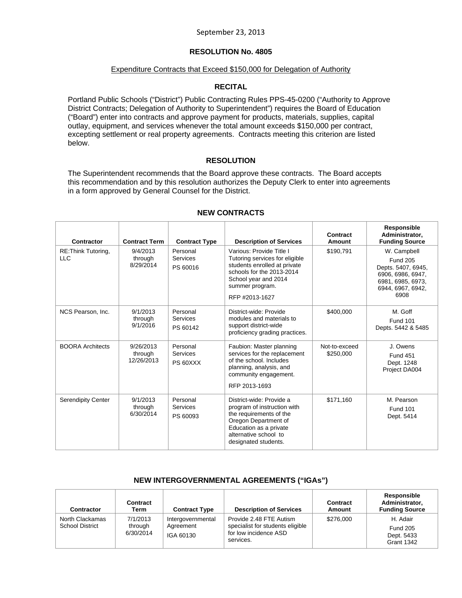## **RESOLUTION No. 4805**

#### Expenditure Contracts that Exceed \$150,000 for Delegation of Authority

### **RECITAL**

Portland Public Schools ("District") Public Contracting Rules PPS-45-0200 ("Authority to Approve District Contracts; Delegation of Authority to Superintendent") requires the Board of Education ("Board") enter into contracts and approve payment for products, materials, supplies, capital outlay, equipment, and services whenever the total amount exceeds \$150,000 per contract, excepting settlement or real property agreements. Contracts meeting this criterion are listed below.

#### **RESOLUTION**

The Superintendent recommends that the Board approve these contracts. The Board accepts this recommendation and by this resolution authorizes the Deputy Clerk to enter into agreements in a form approved by General Counsel for the District.

| Contractor                        | <b>Contract Term</b>               | <b>Contract Type</b>                    | <b>Description of Services</b>                                                                                                                                                        | Contract<br>Amount         | Responsible<br>Administrator,<br><b>Funding Source</b>                                                                      |
|-----------------------------------|------------------------------------|-----------------------------------------|---------------------------------------------------------------------------------------------------------------------------------------------------------------------------------------|----------------------------|-----------------------------------------------------------------------------------------------------------------------------|
| RE: Think Tutoring,<br><b>LLC</b> | 9/4/2013<br>through<br>8/29/2014   | Personal<br>Services<br>PS 60016        | Various: Provide Title I<br>Tutoring services for eligible<br>students enrolled at private<br>schools for the 2013-2014<br>School year and 2014<br>summer program.<br>RFP #2013-1627  | \$190.791                  | W. Campbell<br><b>Fund 205</b><br>Depts. 5407, 6945,<br>6906, 6986, 6947,<br>6981, 6985, 6973,<br>6944, 6967, 6942,<br>6908 |
| NCS Pearson, Inc.                 | 9/1/2013<br>through<br>9/1/2016    | Personal<br><b>Services</b><br>PS 60142 | District-wide: Provide<br>modules and materials to<br>support district-wide<br>proficiency grading practices.                                                                         | \$400,000                  | M. Goff<br><b>Fund 101</b><br>Depts. 5442 & 5485                                                                            |
| <b>BOORA Architects</b>           | 9/26/2013<br>through<br>12/26/2013 | Personal<br><b>Services</b><br>PS 60XXX | Faubion: Master planning<br>services for the replacement<br>of the school. Includes<br>planning, analysis, and<br>community engagement.<br>RFP 2013-1693                              | Not-to-exceed<br>\$250,000 | J. Owens<br><b>Fund 451</b><br>Dept. 1248<br>Project DA004                                                                  |
| <b>Serendipity Center</b>         | 9/1/2013<br>through<br>6/30/2014   | Personal<br>Services<br>PS 60093        | District-wide: Provide a<br>program of instruction with<br>the requirements of the<br>Oregon Department of<br>Education as a private<br>alternative school to<br>designated students. | \$171,160                  | M. Pearson<br><b>Fund 101</b><br>Dept. 5414                                                                                 |

## **NEW CONTRACTS**

#### **NEW INTERGOVERNMENTAL AGREEMENTS ("IGAs")**

| <b>Contractor</b>                         | Contract<br>Term                 | <b>Contract Type</b>                        | <b>Description of Services</b>                                                                    | Contract<br>Amount | Responsible<br>Administrator,<br><b>Funding Source</b>         |
|-------------------------------------------|----------------------------------|---------------------------------------------|---------------------------------------------------------------------------------------------------|--------------------|----------------------------------------------------------------|
| North Clackamas<br><b>School District</b> | 7/1/2013<br>through<br>6/30/2014 | Intergovernmental<br>Agreement<br>IGA 60130 | Provide 2.48 FTE Autism<br>specialist for students eligible<br>for low incidence ASD<br>services. | \$276,000          | H. Adair<br><b>Fund 205</b><br>Dept. 5433<br><b>Grant 1342</b> |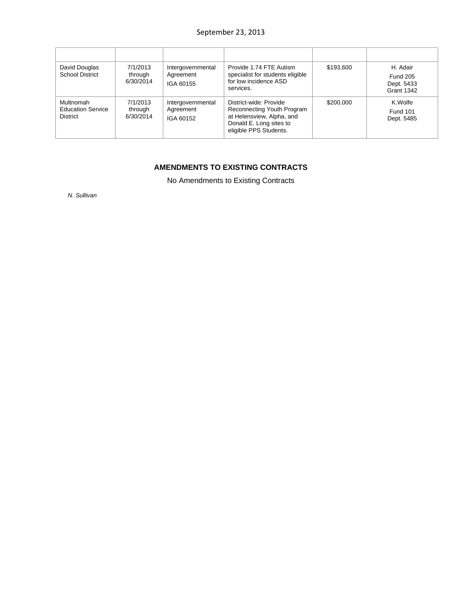| David Douglas<br><b>School District</b>                  | 7/1/2013<br>through<br>6/30/2014 | Intergovernmental<br>Agreement<br>IGA 60155 | Provide 1.74 FTE Autism<br>specialist for students eligible<br>for low incidence ASD<br>services.                                      | \$193,600 | H. Adair<br><b>Fund 205</b><br>Dept. 5433<br><b>Grant 1342</b> |
|----------------------------------------------------------|----------------------------------|---------------------------------------------|----------------------------------------------------------------------------------------------------------------------------------------|-----------|----------------------------------------------------------------|
| Multnomah<br><b>Education Service</b><br><b>District</b> | 7/1/2013<br>through<br>6/30/2014 | Intergovernmental<br>Agreement<br>IGA 60152 | District-wide: Provide<br>Reconnecting Youth Program<br>at Helensview, Alpha, and<br>Donald E. Long sites to<br>eligible PPS Students. | \$200,000 | K.Wolfe<br><b>Fund 101</b><br>Dept. 5485                       |

# **AMENDMENTS TO EXISTING CONTRACTS**

No Amendments to Existing Contracts

*N. Sullivan*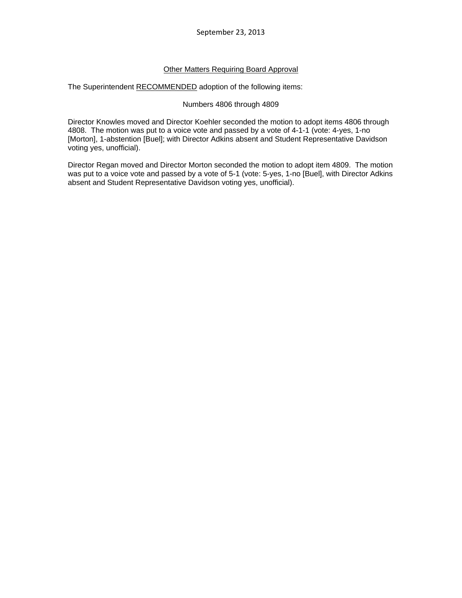### Other Matters Requiring Board Approval

The Superintendent RECOMMENDED adoption of the following items:

#### Numbers 4806 through 4809

Director Knowles moved and Director Koehler seconded the motion to adopt items 4806 through 4808. The motion was put to a voice vote and passed by a vote of 4-1-1 (vote: 4-yes, 1-no [Morton], 1-abstention [Buel]; with Director Adkins absent and Student Representative Davidson voting yes, unofficial).

Director Regan moved and Director Morton seconded the motion to adopt item 4809. The motion was put to a voice vote and passed by a vote of 5-1 (vote: 5-yes, 1-no [Buel], with Director Adkins absent and Student Representative Davidson voting yes, unofficial).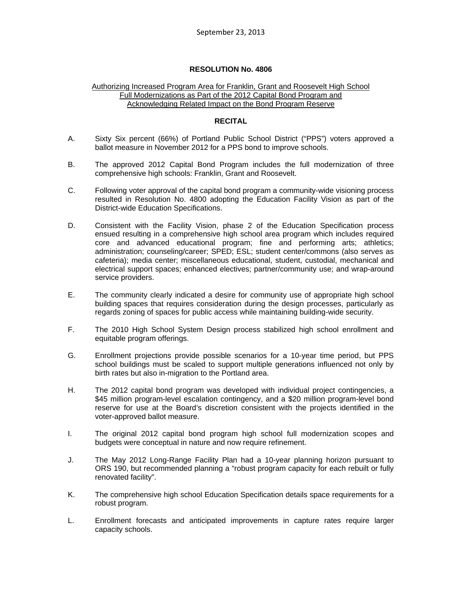## **RESOLUTION No. 4806**

#### Authorizing Increased Program Area for Franklin, Grant and Roosevelt High School Full Modernizations as Part of the 2012 Capital Bond Program and Acknowledging Related Impact on the Bond Program Reserve

#### **RECITAL**

- A. Sixty Six percent (66%) of Portland Public School District ("PPS") voters approved a ballot measure in November 2012 for a PPS bond to improve schools.
- B. The approved 2012 Capital Bond Program includes the full modernization of three comprehensive high schools: Franklin, Grant and Roosevelt.
- C. Following voter approval of the capital bond program a community-wide visioning process resulted in Resolution No. 4800 adopting the Education Facility Vision as part of the District-wide Education Specifications.
- D. Consistent with the Facility Vision, phase 2 of the Education Specification process ensued resulting in a comprehensive high school area program which includes required core and advanced educational program; fine and performing arts; athletics; administration; counseling/career; SPED; ESL; student center/commons (also serves as cafeteria); media center; miscellaneous educational, student, custodial, mechanical and electrical support spaces; enhanced electives; partner/community use; and wrap-around service providers.
- E. The community clearly indicated a desire for community use of appropriate high school building spaces that requires consideration during the design processes, particularly as regards zoning of spaces for public access while maintaining building-wide security.
- F. The 2010 High School System Design process stabilized high school enrollment and equitable program offerings.
- G. Enrollment projections provide possible scenarios for a 10-year time period, but PPS school buildings must be scaled to support multiple generations influenced not only by birth rates but also in-migration to the Portland area.
- H. The 2012 capital bond program was developed with individual project contingencies, a \$45 million program-level escalation contingency, and a \$20 million program-level bond reserve for use at the Board's discretion consistent with the projects identified in the voter-approved ballot measure.
- I. The original 2012 capital bond program high school full modernization scopes and budgets were conceptual in nature and now require refinement.
- J. The May 2012 Long-Range Facility Plan had a 10-year planning horizon pursuant to ORS 190, but recommended planning a "robust program capacity for each rebuilt or fully renovated facility".
- K. The comprehensive high school Education Specification details space requirements for a robust program.
- L. Enrollment forecasts and anticipated improvements in capture rates require larger capacity schools.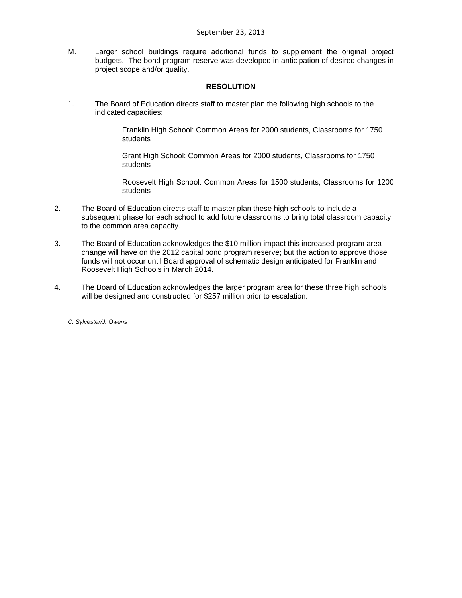M. Larger school buildings require additional funds to supplement the original project budgets. The bond program reserve was developed in anticipation of desired changes in project scope and/or quality.

## **RESOLUTION**

1. The Board of Education directs staff to master plan the following high schools to the indicated capacities:

> Franklin High School: Common Areas for 2000 students, Classrooms for 1750 students

Grant High School: Common Areas for 2000 students, Classrooms for 1750 students

Roosevelt High School: Common Areas for 1500 students, Classrooms for 1200 students

- 2. The Board of Education directs staff to master plan these high schools to include a subsequent phase for each school to add future classrooms to bring total classroom capacity to the common area capacity.
- 3. The Board of Education acknowledges the \$10 million impact this increased program area change will have on the 2012 capital bond program reserve; but the action to approve those funds will not occur until Board approval of schematic design anticipated for Franklin and Roosevelt High Schools in March 2014.
- 4. The Board of Education acknowledges the larger program area for these three high schools will be designed and constructed for \$257 million prior to escalation.

*C. Sylvester/J. Owens*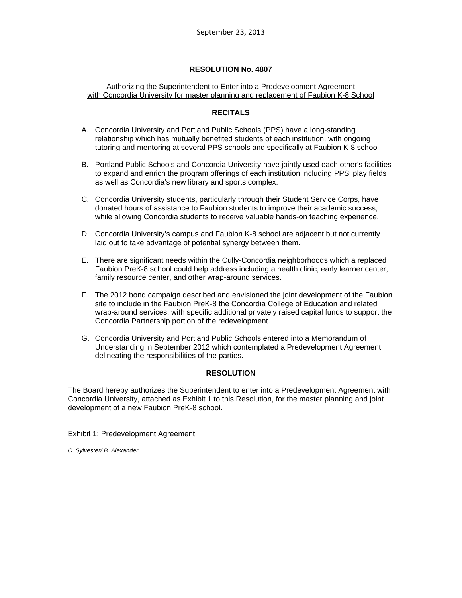## **RESOLUTION No. 4807**

### Authorizing the Superintendent to Enter into a Predevelopment Agreement with Concordia University for master planning and replacement of Faubion K-8 School

## **RECITALS**

- A. Concordia University and Portland Public Schools (PPS) have a long-standing relationship which has mutually benefited students of each institution, with ongoing tutoring and mentoring at several PPS schools and specifically at Faubion K-8 school.
- B. Portland Public Schools and Concordia University have jointly used each other's facilities to expand and enrich the program offerings of each institution including PPS' play fields as well as Concordia's new library and sports complex.
- C. Concordia University students, particularly through their Student Service Corps, have donated hours of assistance to Faubion students to improve their academic success, while allowing Concordia students to receive valuable hands-on teaching experience.
- D. Concordia University's campus and Faubion K-8 school are adjacent but not currently laid out to take advantage of potential synergy between them.
- E. There are significant needs within the Cully-Concordia neighborhoods which a replaced Faubion PreK-8 school could help address including a health clinic, early learner center, family resource center, and other wrap-around services.
- F. The 2012 bond campaign described and envisioned the joint development of the Faubion site to include in the Faubion PreK-8 the Concordia College of Education and related wrap-around services, with specific additional privately raised capital funds to support the Concordia Partnership portion of the redevelopment.
- G. Concordia University and Portland Public Schools entered into a Memorandum of Understanding in September 2012 which contemplated a Predevelopment Agreement delineating the responsibilities of the parties.

## **RESOLUTION**

The Board hereby authorizes the Superintendent to enter into a Predevelopment Agreement with Concordia University, attached as Exhibit 1 to this Resolution, for the master planning and joint development of a new Faubion PreK-8 school.

Exhibit 1: Predevelopment Agreement

*C. Sylvester/ B. Alexander*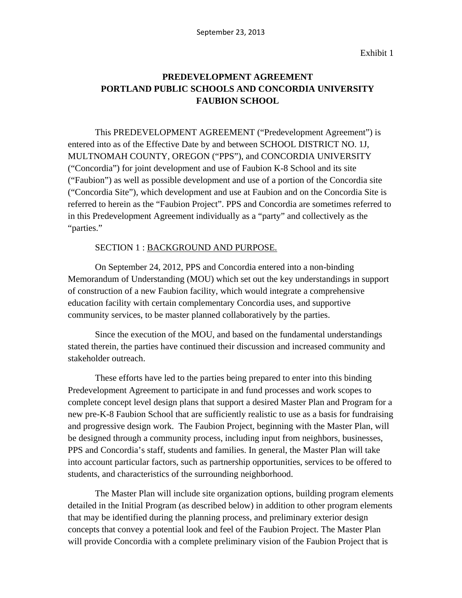Exhibit 1

# **PREDEVELOPMENT AGREEMENT PORTLAND PUBLIC SCHOOLS AND CONCORDIA UNIVERSITY FAUBION SCHOOL**

This PREDEVELOPMENT AGREEMENT ("Predevelopment Agreement") is entered into as of the Effective Date by and between SCHOOL DISTRICT NO. 1J, MULTNOMAH COUNTY, OREGON ("PPS"), and CONCORDIA UNIVERSITY ("Concordia") for joint development and use of Faubion K-8 School and its site ("Faubion") as well as possible development and use of a portion of the Concordia site ("Concordia Site"), which development and use at Faubion and on the Concordia Site is referred to herein as the "Faubion Project". PPS and Concordia are sometimes referred to in this Predevelopment Agreement individually as a "party" and collectively as the "parties."

## SECTION 1 : BACKGROUND AND PURPOSE.

On September 24, 2012, PPS and Concordia entered into a non-binding Memorandum of Understanding (MOU) which set out the key understandings in support of construction of a new Faubion facility, which would integrate a comprehensive education facility with certain complementary Concordia uses, and supportive community services, to be master planned collaboratively by the parties.

Since the execution of the MOU, and based on the fundamental understandings stated therein, the parties have continued their discussion and increased community and stakeholder outreach.

These efforts have led to the parties being prepared to enter into this binding Predevelopment Agreement to participate in and fund processes and work scopes to complete concept level design plans that support a desired Master Plan and Program for a new pre-K-8 Faubion School that are sufficiently realistic to use as a basis for fundraising and progressive design work. The Faubion Project, beginning with the Master Plan, will be designed through a community process, including input from neighbors, businesses, PPS and Concordia's staff, students and families. In general, the Master Plan will take into account particular factors, such as partnership opportunities, services to be offered to students, and characteristics of the surrounding neighborhood.

The Master Plan will include site organization options, building program elements detailed in the Initial Program (as described below) in addition to other program elements that may be identified during the planning process, and preliminary exterior design concepts that convey a potential look and feel of the Faubion Project. The Master Plan will provide Concordia with a complete preliminary vision of the Faubion Project that is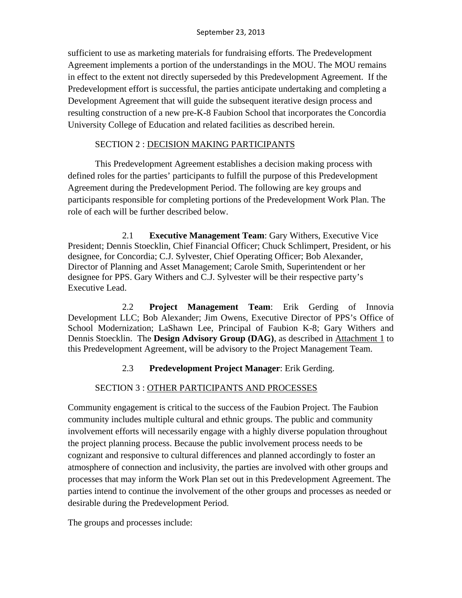sufficient to use as marketing materials for fundraising efforts. The Predevelopment Agreement implements a portion of the understandings in the MOU. The MOU remains in effect to the extent not directly superseded by this Predevelopment Agreement. If the Predevelopment effort is successful, the parties anticipate undertaking and completing a Development Agreement that will guide the subsequent iterative design process and resulting construction of a new pre-K-8 Faubion School that incorporates the Concordia University College of Education and related facilities as described herein.

# SECTION 2 : DECISION MAKING PARTICIPANTS

This Predevelopment Agreement establishes a decision making process with defined roles for the parties' participants to fulfill the purpose of this Predevelopment Agreement during the Predevelopment Period. The following are key groups and participants responsible for completing portions of the Predevelopment Work Plan. The role of each will be further described below.

2.1 **Executive Management Team**: Gary Withers, Executive Vice President; Dennis Stoecklin, Chief Financial Officer; Chuck Schlimpert, President, or his designee, for Concordia; C.J. Sylvester, Chief Operating Officer; Bob Alexander, Director of Planning and Asset Management; Carole Smith, Superintendent or her designee for PPS. Gary Withers and C.J. Sylvester will be their respective party's Executive Lead.

2.2 **Project Management Team**: Erik Gerding of Innovia Development LLC; Bob Alexander; Jim Owens, Executive Director of PPS's Office of School Modernization; LaShawn Lee, Principal of Faubion K-8; Gary Withers and Dennis Stoecklin.The **Design Advisory Group (DAG)**, as described in Attachment 1 to this Predevelopment Agreement, will be advisory to the Project Management Team.

# 2.3 **Predevelopment Project Manager**: Erik Gerding.

# SECTION 3 : OTHER PARTICIPANTS AND PROCESSES

Community engagement is critical to the success of the Faubion Project. The Faubion community includes multiple cultural and ethnic groups. The public and community involvement efforts will necessarily engage with a highly diverse population throughout the project planning process. Because the public involvement process needs to be cognizant and responsive to cultural differences and planned accordingly to foster an atmosphere of connection and inclusivity, the parties are involved with other groups and processes that may inform the Work Plan set out in this Predevelopment Agreement. The parties intend to continue the involvement of the other groups and processes as needed or desirable during the Predevelopment Period.

The groups and processes include: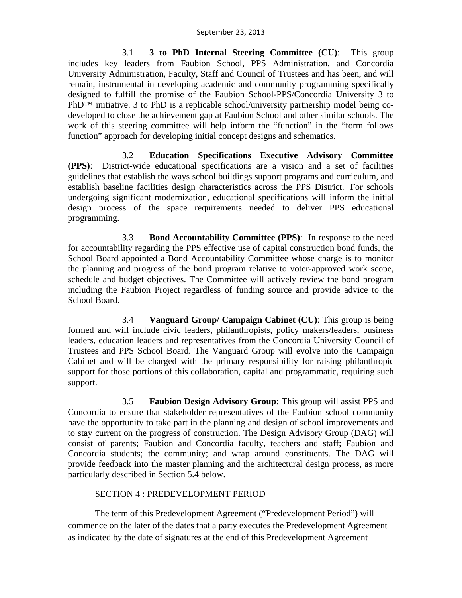3.1 **3 to PhD Internal Steering Committee (CU)**: This group includes key leaders from Faubion School, PPS Administration, and Concordia University Administration, Faculty, Staff and Council of Trustees and has been, and will remain, instrumental in developing academic and community programming specifically designed to fulfill the promise of the Faubion School-PPS/Concordia University 3 to PhD<sup>™</sup> initiative. 3 to PhD is a replicable school/university partnership model being codeveloped to close the achievement gap at Faubion School and other similar schools. The work of this steering committee will help inform the "function" in the "form follows function" approach for developing initial concept designs and schematics.

3.2 **Education Specifications Executive Advisory Committee (PPS)**: District-wide educational specifications are a vision and a set of facilities guidelines that establish the ways school buildings support programs and curriculum, and establish baseline facilities design characteristics across the PPS District. For schools undergoing significant modernization, educational specifications will inform the initial design process of the space requirements needed to deliver PPS educational programming.

3.3 **Bond Accountability Committee (PPS)**: In response to the need for accountability regarding the PPS effective use of capital construction bond funds, the School Board appointed a Bond Accountability Committee whose charge is to monitor the planning and progress of the bond program relative to voter-approved work scope, schedule and budget objectives. The Committee will actively review the bond program including the Faubion Project regardless of funding source and provide advice to the School Board.

3.4 **Vanguard Group/ Campaign Cabinet (CU)**: This group is being formed and will include civic leaders, philanthropists, policy makers/leaders, business leaders, education leaders and representatives from the Concordia University Council of Trustees and PPS School Board. The Vanguard Group will evolve into the Campaign Cabinet and will be charged with the primary responsibility for raising philanthropic support for those portions of this collaboration, capital and programmatic, requiring such support.

3.5 **Faubion Design Advisory Group:** This group will assist PPS and Concordia to ensure that stakeholder representatives of the Faubion school community have the opportunity to take part in the planning and design of school improvements and to stay current on the progress of construction. The Design Advisory Group (DAG) will consist of parents; Faubion and Concordia faculty, teachers and staff; Faubion and Concordia students; the community; and wrap around constituents. The DAG will provide feedback into the master planning and the architectural design process, as more particularly described in Section 5.4 below.

# SECTION 4 : PREDEVELOPMENT PERIOD

The term of this Predevelopment Agreement ("Predevelopment Period") will commence on the later of the dates that a party executes the Predevelopment Agreement as indicated by the date of signatures at the end of this Predevelopment Agreement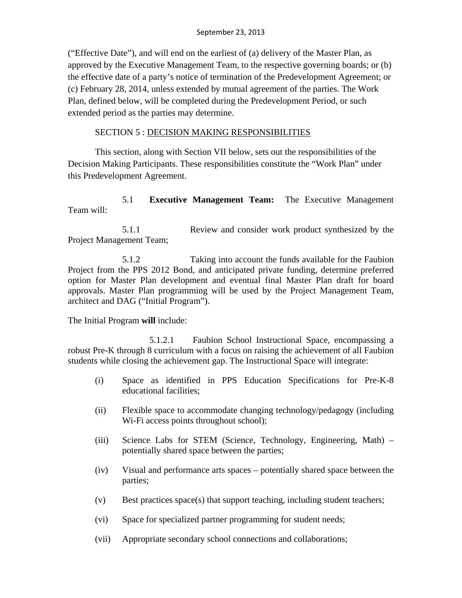("Effective Date"), and will end on the earliest of (a) delivery of the Master Plan, as approved by the Executive Management Team, to the respective governing boards; or (b) the effective date of a party's notice of termination of the Predevelopment Agreement; or (c) February 28, 2014, unless extended by mutual agreement of the parties. The Work Plan, defined below, will be completed during the Predevelopment Period, or such extended period as the parties may determine.

# SECTION 5 : DECISION MAKING RESPONSIBILITIES

This section, along with Section VII below, sets out the responsibilities of the Decision Making Participants. These responsibilities constitute the "Work Plan" under this Predevelopment Agreement.

# 5.1 **Executive Management Team:** The Executive Management Team will:

5.1.1 Review and consider work product synthesized by the Project Management Team;

5.1.2 Taking into account the funds available for the Faubion Project from the PPS 2012 Bond, and anticipated private funding, determine preferred option for Master Plan development and eventual final Master Plan draft for board approvals. Master Plan programming will be used by the Project Management Team, architect and DAG ("Initial Program").

The Initial Program **will** include:

5.1.2.1 Faubion School Instructional Space, encompassing a robust Pre-K through 8 curriculum with a focus on raising the achievement of all Faubion students while closing the achievement gap. The Instructional Space will integrate:

- (i) Space as identified in PPS Education Specifications for Pre-K-8 educational facilities;
- (ii) Flexible space to accommodate changing technology/pedagogy (including Wi-Fi access points throughout school);
- (iii) Science Labs for STEM (Science, Technology, Engineering, Math) potentially shared space between the parties;
- (iv) Visual and performance arts spaces potentially shared space between the parties;
- (v) Best practices space(s) that support teaching, including student teachers;
- (vi) Space for specialized partner programming for student needs;
- (vii) Appropriate secondary school connections and collaborations;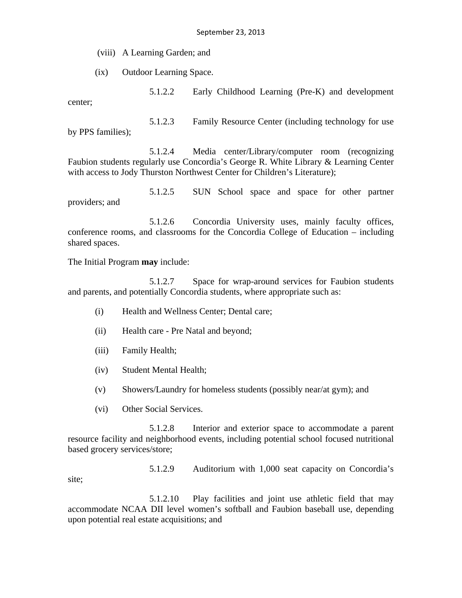(viii) A Learning Garden; and

(ix) Outdoor Learning Space.

5.1.2.2 Early Childhood Learning (Pre-K) and development center;

5.1.2.3 Family Resource Center (including technology for use by PPS families);

5.1.2.4 Media center/Library/computer room (recognizing Faubion students regularly use Concordia's George R. White Library & Learning Center with access to Jody Thurston Northwest Center for Children's Literature);

5.1.2.5 SUN School space and space for other partner providers; and

5.1.2.6 Concordia University uses, mainly faculty offices, conference rooms, and classrooms for the Concordia College of Education – including shared spaces.

The Initial Program **may** include:

5.1.2.7 Space for wrap-around services for Faubion students and parents, and potentially Concordia students, where appropriate such as:

- (i) Health and Wellness Center; Dental care;
- (ii) Health care Pre Natal and beyond;
- (iii) Family Health;
- (iv) Student Mental Health;
- (v) Showers/Laundry for homeless students (possibly near/at gym); and
- (vi) Other Social Services.

5.1.2.8 Interior and exterior space to accommodate a parent resource facility and neighborhood events, including potential school focused nutritional based grocery services/store;

5.1.2.9 Auditorium with 1,000 seat capacity on Concordia's site;

5.1.2.10 Play facilities and joint use athletic field that may accommodate NCAA DII level women's softball and Faubion baseball use, depending upon potential real estate acquisitions; and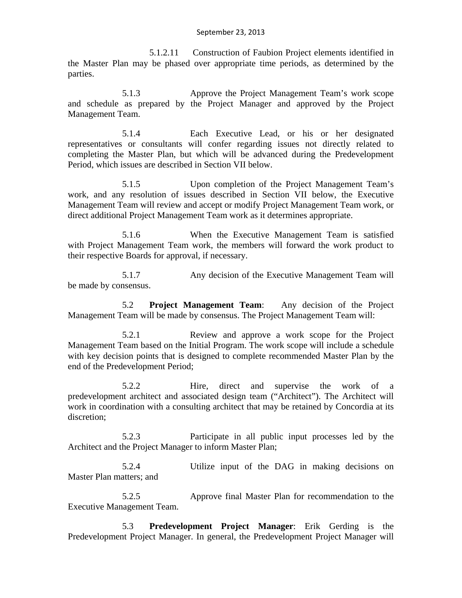5.1.2.11 Construction of Faubion Project elements identified in the Master Plan may be phased over appropriate time periods, as determined by the parties.

5.1.3 Approve the Project Management Team's work scope and schedule as prepared by the Project Manager and approved by the Project Management Team.

5.1.4 Each Executive Lead, or his or her designated representatives or consultants will confer regarding issues not directly related to completing the Master Plan, but which will be advanced during the Predevelopment Period, which issues are described in Section VII below.

5.1.5 Upon completion of the Project Management Team's work, and any resolution of issues described in Section VII below, the Executive Management Team will review and accept or modify Project Management Team work, or direct additional Project Management Team work as it determines appropriate.

5.1.6 When the Executive Management Team is satisfied with Project Management Team work, the members will forward the work product to their respective Boards for approval, if necessary.

5.1.7 Any decision of the Executive Management Team will be made by consensus.

5.2 **Project Management Team**: Any decision of the Project Management Team will be made by consensus. The Project Management Team will:

5.2.1 Review and approve a work scope for the Project Management Team based on the Initial Program. The work scope will include a schedule with key decision points that is designed to complete recommended Master Plan by the end of the Predevelopment Period;

5.2.2 Hire, direct and supervise the work of a predevelopment architect and associated design team ("Architect"). The Architect will work in coordination with a consulting architect that may be retained by Concordia at its discretion;

5.2.3 Participate in all public input processes led by the Architect and the Project Manager to inform Master Plan;

5.2.4 Utilize input of the DAG in making decisions on Master Plan matters; and

5.2.5 Approve final Master Plan for recommendation to the Executive Management Team.

5.3 **Predevelopment Project Manager**: Erik Gerding is the Predevelopment Project Manager. In general, the Predevelopment Project Manager will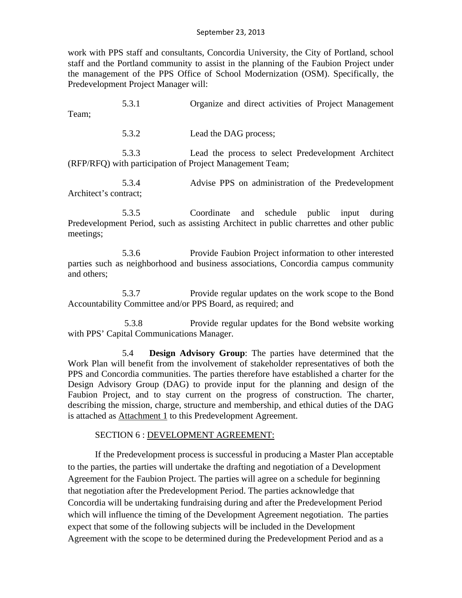work with PPS staff and consultants, Concordia University, the City of Portland, school staff and the Portland community to assist in the planning of the Faubion Project under the management of the PPS Office of School Modernization (OSM). Specifically, the Predevelopment Project Manager will:

5.3.1 Organize and direct activities of Project Management Team;

5.3.2 Lead the DAG process;

5.3.3 Lead the process to select Predevelopment Architect (RFP/RFQ) with participation of Project Management Team;

5.3.4 Advise PPS on administration of the Predevelopment Architect's contract;

5.3.5 Coordinate and schedule public input during Predevelopment Period, such as assisting Architect in public charrettes and other public meetings;

5.3.6 Provide Faubion Project information to other interested parties such as neighborhood and business associations, Concordia campus community and others;

5.3.7 Provide regular updates on the work scope to the Bond Accountability Committee and/or PPS Board, as required; and

5.3.8 Provide regular updates for the Bond website working with PPS' Capital Communications Manager.

5.4 **Design Advisory Group**: The parties have determined that the Work Plan will benefit from the involvement of stakeholder representatives of both the PPS and Concordia communities. The parties therefore have established a charter for the Design Advisory Group (DAG) to provide input for the planning and design of the Faubion Project, and to stay current on the progress of construction. The charter, describing the mission, charge, structure and membership, and ethical duties of the DAG is attached as Attachment 1 to this Predevelopment Agreement.

# SECTION 6 : DEVELOPMENT AGREEMENT:

If the Predevelopment process is successful in producing a Master Plan acceptable to the parties, the parties will undertake the drafting and negotiation of a Development Agreement for the Faubion Project. The parties will agree on a schedule for beginning that negotiation after the Predevelopment Period. The parties acknowledge that Concordia will be undertaking fundraising during and after the Predevelopment Period which will influence the timing of the Development Agreement negotiation. The parties expect that some of the following subjects will be included in the Development Agreement with the scope to be determined during the Predevelopment Period and as a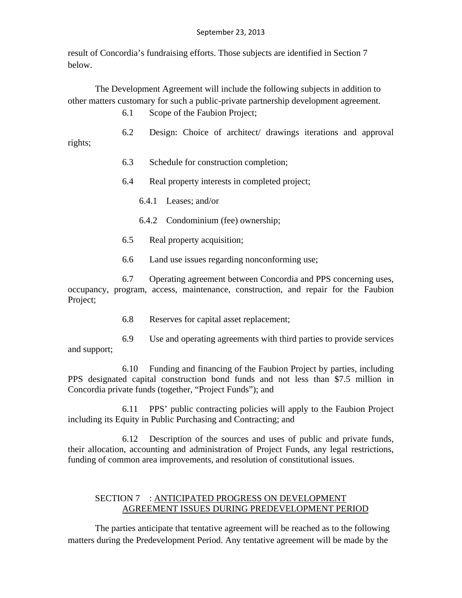result of Concordia's fundraising efforts. Those subjects are identified in Section 7 below.

The Development Agreement will include the following subjects in addition to other matters customary for such a public-private partnership development agreement.

6.1 Scope of the Faubion Project;

- 6.2 Design: Choice of architect/ drawings iterations and approval
	- 6.3 Schedule for construction completion;
	- 6.4 Real property interests in completed project;
		- 6.4.1 Leases; and/or

rights;

- 6.4.2 Condominium (fee) ownership;
- 6.5 Real property acquisition;
- 6.6 Land use issues regarding nonconforming use;

6.7 Operating agreement between Concordia and PPS concerning uses, occupancy, program, access, maintenance, construction, and repair for the Faubion Project;

- 6.8 Reserves for capital asset replacement;
- 6.9 Use and operating agreements with third parties to provide services and support;

6.10 Funding and financing of the Faubion Project by parties, including PPS designated capital construction bond funds and not less than \$7.5 million in Concordia private funds (together, "Project Funds"); and

6.11 PPS' public contracting policies will apply to the Faubion Project including its Equity in Public Purchasing and Contracting; and

6.12 Description of the sources and uses of public and private funds, their allocation, accounting and administration of Project Funds, any legal restrictions, funding of common area improvements, and resolution of constitutional issues.

# SECTION 7 : ANTICIPATED PROGRESS ON DEVELOPMENT AGREEMENT ISSUES DURING PREDEVELOPMENT PERIOD

The parties anticipate that tentative agreement will be reached as to the following matters during the Predevelopment Period. Any tentative agreement will be made by the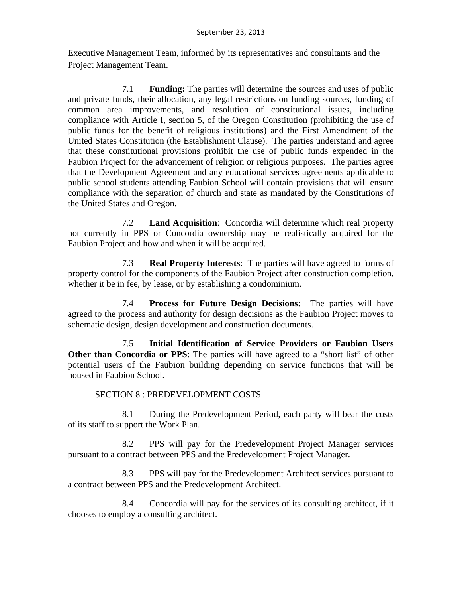Executive Management Team, informed by its representatives and consultants and the Project Management Team.

7.1 **Funding:** The parties will determine the sources and uses of public and private funds, their allocation, any legal restrictions on funding sources, funding of common area improvements, and resolution of constitutional issues, including compliance with Article I, section 5, of the Oregon Constitution (prohibiting the use of public funds for the benefit of religious institutions) and the First Amendment of the United States Constitution (the Establishment Clause). The parties understand and agree that these constitutional provisions prohibit the use of public funds expended in the Faubion Project for the advancement of religion or religious purposes. The parties agree that the Development Agreement and any educational services agreements applicable to public school students attending Faubion School will contain provisions that will ensure compliance with the separation of church and state as mandated by the Constitutions of the United States and Oregon.

7.2 **Land Acquisition**: Concordia will determine which real property not currently in PPS or Concordia ownership may be realistically acquired for the Faubion Project and how and when it will be acquired.

7.3 **Real Property Interests**: The parties will have agreed to forms of property control for the components of the Faubion Project after construction completion, whether it be in fee, by lease, or by establishing a condominium.

7.4 **Process for Future Design Decisions:** The parties will have agreed to the process and authority for design decisions as the Faubion Project moves to schematic design, design development and construction documents.

7.5 **Initial Identification of Service Providers or Faubion Users Other than Concordia or PPS**: The parties will have agreed to a "short list" of other potential users of the Faubion building depending on service functions that will be housed in Faubion School.

# SECTION 8 : PREDEVELOPMENT COSTS

8.1 During the Predevelopment Period, each party will bear the costs of its staff to support the Work Plan.

8.2 PPS will pay for the Predevelopment Project Manager services pursuant to a contract between PPS and the Predevelopment Project Manager.

8.3 PPS will pay for the Predevelopment Architect services pursuant to a contract between PPS and the Predevelopment Architect.

8.4 Concordia will pay for the services of its consulting architect, if it chooses to employ a consulting architect.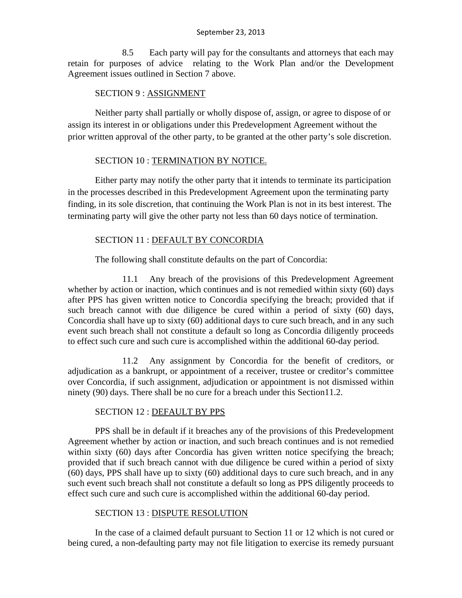8.5 Each party will pay for the consultants and attorneys that each may retain for purposes of advice relating to the Work Plan and/or the Development Agreement issues outlined in Section 7 above.

# SECTION 9 : ASSIGNMENT

Neither party shall partially or wholly dispose of, assign, or agree to dispose of or assign its interest in or obligations under this Predevelopment Agreement without the prior written approval of the other party, to be granted at the other party's sole discretion.

# SECTION 10 : TERMINATION BY NOTICE.

Either party may notify the other party that it intends to terminate its participation in the processes described in this Predevelopment Agreement upon the terminating party finding, in its sole discretion, that continuing the Work Plan is not in its best interest. The terminating party will give the other party not less than 60 days notice of termination.

# SECTION 11 : DEFAULT BY CONCORDIA

The following shall constitute defaults on the part of Concordia:

11.1 Any breach of the provisions of this Predevelopment Agreement whether by action or inaction, which continues and is not remedied within sixty (60) days after PPS has given written notice to Concordia specifying the breach; provided that if such breach cannot with due diligence be cured within a period of sixty (60) days, Concordia shall have up to sixty (60) additional days to cure such breach, and in any such event such breach shall not constitute a default so long as Concordia diligently proceeds to effect such cure and such cure is accomplished within the additional 60-day period.

11.2 Any assignment by Concordia for the benefit of creditors, or adjudication as a bankrupt, or appointment of a receiver, trustee or creditor's committee over Concordia, if such assignment, adjudication or appointment is not dismissed within ninety (90) days. There shall be no cure for a breach under this Section11.2.

# SECTION 12 : DEFAULT BY PPS

PPS shall be in default if it breaches any of the provisions of this Predevelopment Agreement whether by action or inaction, and such breach continues and is not remedied within sixty (60) days after Concordia has given written notice specifying the breach; provided that if such breach cannot with due diligence be cured within a period of sixty (60) days, PPS shall have up to sixty (60) additional days to cure such breach, and in any such event such breach shall not constitute a default so long as PPS diligently proceeds to effect such cure and such cure is accomplished within the additional 60-day period.

# SECTION 13 : DISPUTE RESOLUTION

In the case of a claimed default pursuant to Section 11 or 12 which is not cured or being cured, a non-defaulting party may not file litigation to exercise its remedy pursuant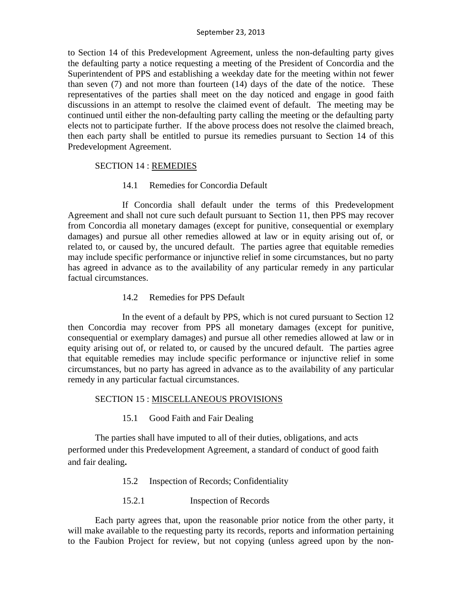to Section 14 of this Predevelopment Agreement, unless the non-defaulting party gives the defaulting party a notice requesting a meeting of the President of Concordia and the Superintendent of PPS and establishing a weekday date for the meeting within not fewer than seven (7) and not more than fourteen (14) days of the date of the notice. These representatives of the parties shall meet on the day noticed and engage in good faith discussions in an attempt to resolve the claimed event of default. The meeting may be continued until either the non-defaulting party calling the meeting or the defaulting party elects not to participate further. If the above process does not resolve the claimed breach, then each party shall be entitled to pursue its remedies pursuant to Section 14 of this Predevelopment Agreement.

# SECTION 14 : REMEDIES

# 14.1 Remedies for Concordia Default

If Concordia shall default under the terms of this Predevelopment Agreement and shall not cure such default pursuant to Section 11, then PPS may recover from Concordia all monetary damages (except for punitive, consequential or exemplary damages) and pursue all other remedies allowed at law or in equity arising out of, or related to, or caused by, the uncured default. The parties agree that equitable remedies may include specific performance or injunctive relief in some circumstances, but no party has agreed in advance as to the availability of any particular remedy in any particular factual circumstances.

# 14.2 Remedies for PPS Default

In the event of a default by PPS, which is not cured pursuant to Section 12 then Concordia may recover from PPS all monetary damages (except for punitive, consequential or exemplary damages) and pursue all other remedies allowed at law or in equity arising out of, or related to, or caused by the uncured default. The parties agree that equitable remedies may include specific performance or injunctive relief in some circumstances, but no party has agreed in advance as to the availability of any particular remedy in any particular factual circumstances.

# SECTION 15 : MISCELLANEOUS PROVISIONS

15.1 Good Faith and Fair Dealing

The parties shall have imputed to all of their duties, obligations, and acts performed under this Predevelopment Agreement, a standard of conduct of good faith and fair dealing**.**

# 15.2 Inspection of Records; Confidentiality

15.2.1 Inspection of Records

Each party agrees that, upon the reasonable prior notice from the other party, it will make available to the requesting party its records, reports and information pertaining to the Faubion Project for review, but not copying (unless agreed upon by the non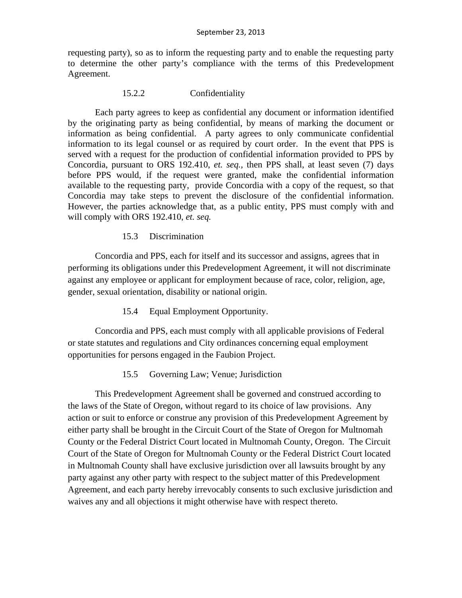requesting party), so as to inform the requesting party and to enable the requesting party to determine the other party's compliance with the terms of this Predevelopment Agreement.

# 15.2.2 Confidentiality

Each party agrees to keep as confidential any document or information identified by the originating party as being confidential, by means of marking the document or information as being confidential. A party agrees to only communicate confidential information to its legal counsel or as required by court order. In the event that PPS is served with a request for the production of confidential information provided to PPS by Concordia, pursuant to ORS 192.410, *et. seq.,* then PPS shall, at least seven (7) days before PPS would, if the request were granted, make the confidential information available to the requesting party, provide Concordia with a copy of the request, so that Concordia may take steps to prevent the disclosure of the confidential information. However, the parties acknowledge that, as a public entity, PPS must comply with and will comply with ORS 192.410, *et. seq.* 

# 15.3 Discrimination

Concordia and PPS, each for itself and its successor and assigns, agrees that in performing its obligations under this Predevelopment Agreement, it will not discriminate against any employee or applicant for employment because of race, color, religion, age, gender, sexual orientation, disability or national origin.

15.4 Equal Employment Opportunity.

Concordia and PPS, each must comply with all applicable provisions of Federal or state statutes and regulations and City ordinances concerning equal employment opportunities for persons engaged in the Faubion Project.

# 15.5 Governing Law; Venue; Jurisdiction

This Predevelopment Agreement shall be governed and construed according to the laws of the State of Oregon, without regard to its choice of law provisions. Any action or suit to enforce or construe any provision of this Predevelopment Agreement by either party shall be brought in the Circuit Court of the State of Oregon for Multnomah County or the Federal District Court located in Multnomah County, Oregon. The Circuit Court of the State of Oregon for Multnomah County or the Federal District Court located in Multnomah County shall have exclusive jurisdiction over all lawsuits brought by any party against any other party with respect to the subject matter of this Predevelopment Agreement, and each party hereby irrevocably consents to such exclusive jurisdiction and waives any and all objections it might otherwise have with respect thereto.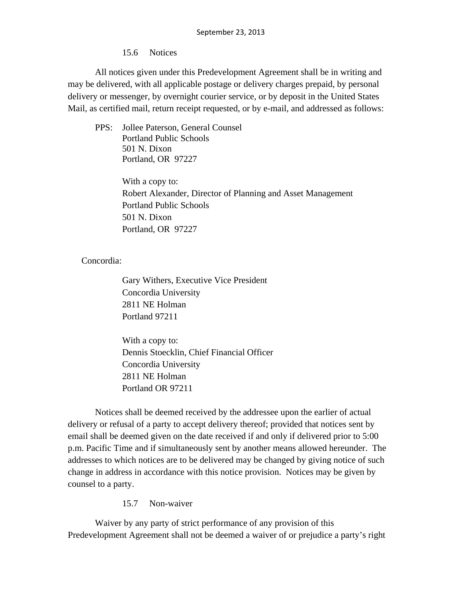15.6 Notices

All notices given under this Predevelopment Agreement shall be in writing and may be delivered, with all applicable postage or delivery charges prepaid, by personal delivery or messenger, by overnight courier service, or by deposit in the United States Mail, as certified mail, return receipt requested, or by e-mail, and addressed as follows:

PPS: Jollee Paterson, General Counsel Portland Public Schools 501 N. Dixon Portland, OR 97227

> With a copy to: Robert Alexander, Director of Planning and Asset Management Portland Public Schools 501 N. Dixon Portland, OR 97227

Concordia:

Gary Withers, Executive Vice President Concordia University 2811 NE Holman Portland 97211

With a copy to: Dennis Stoecklin, Chief Financial Officer Concordia University 2811 NE Holman Portland OR 97211

Notices shall be deemed received by the addressee upon the earlier of actual delivery or refusal of a party to accept delivery thereof; provided that notices sent by email shall be deemed given on the date received if and only if delivered prior to 5:00 p.m. Pacific Time and if simultaneously sent by another means allowed hereunder. The addresses to which notices are to be delivered may be changed by giving notice of such change in address in accordance with this notice provision. Notices may be given by counsel to a party.

15.7 Non-waiver

Waiver by any party of strict performance of any provision of this Predevelopment Agreement shall not be deemed a waiver of or prejudice a party's right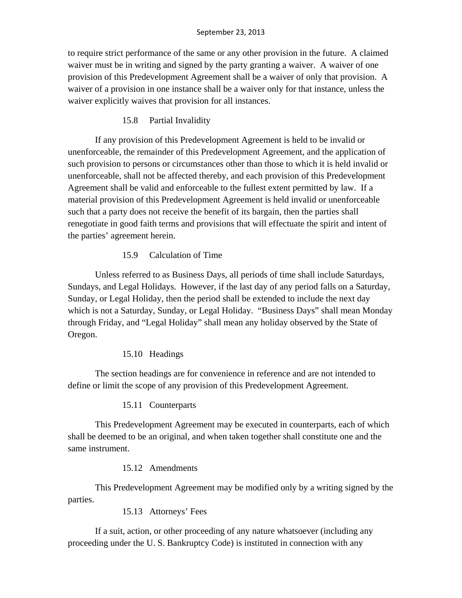to require strict performance of the same or any other provision in the future. A claimed waiver must be in writing and signed by the party granting a waiver. A waiver of one provision of this Predevelopment Agreement shall be a waiver of only that provision. A waiver of a provision in one instance shall be a waiver only for that instance, unless the waiver explicitly waives that provision for all instances.

15.8 Partial Invalidity

If any provision of this Predevelopment Agreement is held to be invalid or unenforceable, the remainder of this Predevelopment Agreement, and the application of such provision to persons or circumstances other than those to which it is held invalid or unenforceable, shall not be affected thereby, and each provision of this Predevelopment Agreement shall be valid and enforceable to the fullest extent permitted by law. If a material provision of this Predevelopment Agreement is held invalid or unenforceable such that a party does not receive the benefit of its bargain, then the parties shall renegotiate in good faith terms and provisions that will effectuate the spirit and intent of the parties' agreement herein.

# 15.9 Calculation of Time

Unless referred to as Business Days, all periods of time shall include Saturdays, Sundays, and Legal Holidays. However, if the last day of any period falls on a Saturday, Sunday, or Legal Holiday, then the period shall be extended to include the next day which is not a Saturday, Sunday, or Legal Holiday. "Business Days" shall mean Monday through Friday, and "Legal Holiday" shall mean any holiday observed by the State of Oregon.

# 15.10 Headings

The section headings are for convenience in reference and are not intended to define or limit the scope of any provision of this Predevelopment Agreement.

15.11 Counterparts

This Predevelopment Agreement may be executed in counterparts, each of which shall be deemed to be an original, and when taken together shall constitute one and the same instrument.

15.12 Amendments

This Predevelopment Agreement may be modified only by a writing signed by the parties.

15.13 Attorneys' Fees

If a suit, action, or other proceeding of any nature whatsoever (including any proceeding under the U. S. Bankruptcy Code) is instituted in connection with any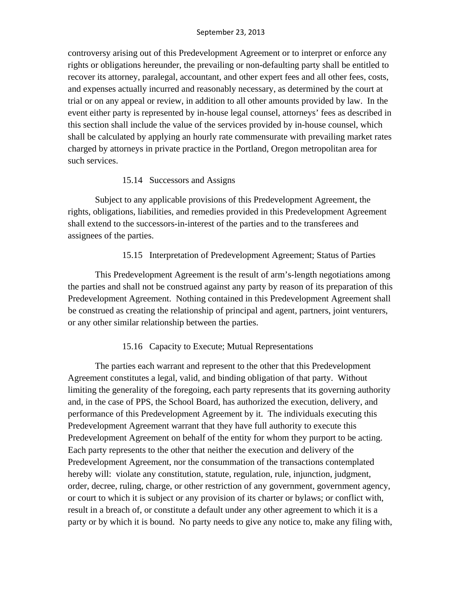controversy arising out of this Predevelopment Agreement or to interpret or enforce any rights or obligations hereunder, the prevailing or non-defaulting party shall be entitled to recover its attorney, paralegal, accountant, and other expert fees and all other fees, costs, and expenses actually incurred and reasonably necessary, as determined by the court at trial or on any appeal or review, in addition to all other amounts provided by law. In the event either party is represented by in-house legal counsel, attorneys' fees as described in this section shall include the value of the services provided by in-house counsel, which shall be calculated by applying an hourly rate commensurate with prevailing market rates charged by attorneys in private practice in the Portland, Oregon metropolitan area for such services.

# 15.14 Successors and Assigns

Subject to any applicable provisions of this Predevelopment Agreement, the rights, obligations, liabilities, and remedies provided in this Predevelopment Agreement shall extend to the successors-in-interest of the parties and to the transferees and assignees of the parties.

# 15.15 Interpretation of Predevelopment Agreement; Status of Parties

This Predevelopment Agreement is the result of arm's-length negotiations among the parties and shall not be construed against any party by reason of its preparation of this Predevelopment Agreement. Nothing contained in this Predevelopment Agreement shall be construed as creating the relationship of principal and agent, partners, joint venturers, or any other similar relationship between the parties.

# 15.16 Capacity to Execute; Mutual Representations

The parties each warrant and represent to the other that this Predevelopment Agreement constitutes a legal, valid, and binding obligation of that party. Without limiting the generality of the foregoing, each party represents that its governing authority and, in the case of PPS, the School Board, has authorized the execution, delivery, and performance of this Predevelopment Agreement by it. The individuals executing this Predevelopment Agreement warrant that they have full authority to execute this Predevelopment Agreement on behalf of the entity for whom they purport to be acting. Each party represents to the other that neither the execution and delivery of the Predevelopment Agreement, nor the consummation of the transactions contemplated hereby will: violate any constitution, statute, regulation, rule, injunction, judgment, order, decree, ruling, charge, or other restriction of any government, government agency, or court to which it is subject or any provision of its charter or bylaws; or conflict with, result in a breach of, or constitute a default under any other agreement to which it is a party or by which it is bound. No party needs to give any notice to, make any filing with,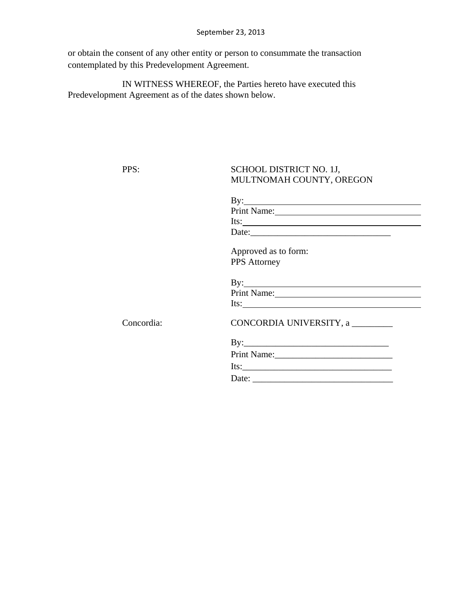or obtain the consent of any other entity or person to consummate the transaction contemplated by this Predevelopment Agreement.

IN WITNESS WHEREOF, the Parties hereto have executed this Predevelopment Agreement as of the dates shown below.

# PPS: SCHOOL DISTRICT NO. 1J, MULTNOMAH COUNTY, OREGON

|            | $\mathbf{By:}\square$           |
|------------|---------------------------------|
|            | Print Name:                     |
|            | Its: $\qquad \qquad$            |
|            | Date:                           |
|            | Approved as to form:            |
|            | <b>PPS</b> Attorney             |
|            | $By:\underline{\qquad \qquad }$ |
|            | Print Name:                     |
|            |                                 |
| Concordia: | CONCORDIA UNIVERSITY, a         |
|            |                                 |
|            | Print Name:                     |
|            | Its: $\frac{1}{2}$              |
|            |                                 |